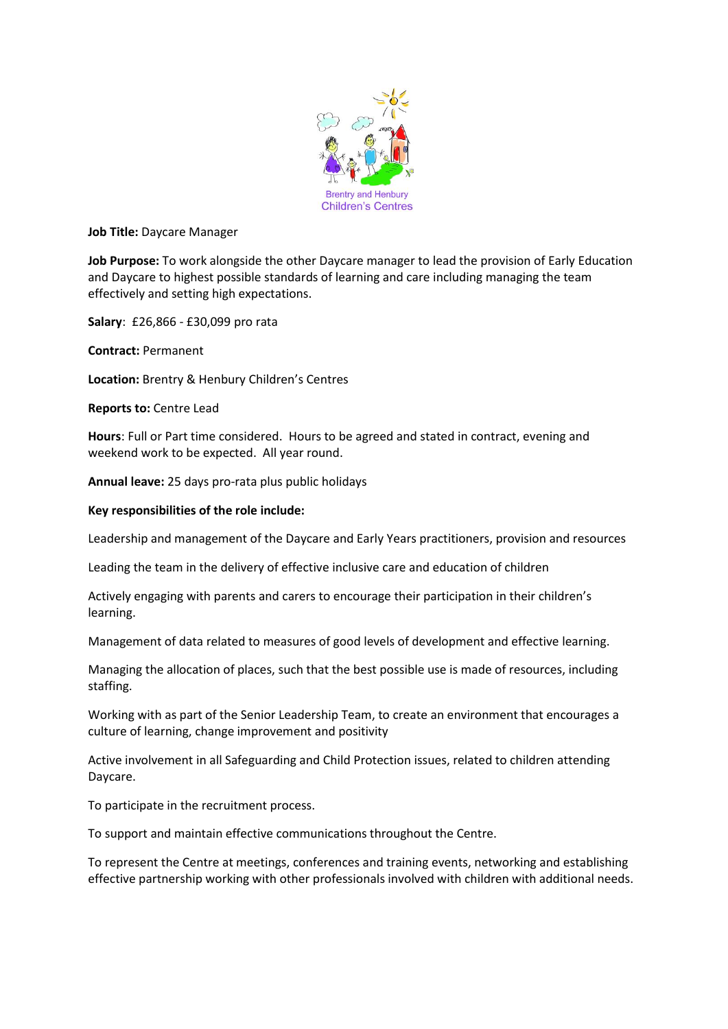

**Job Title:** Daycare Manager

**Job Purpose:** To work alongside the other Daycare manager to lead the provision of Early Education and Daycare to highest possible standards of learning and care including managing the team effectively and setting high expectations.

**Salary**: £26,866 - £30,099 pro rata

**Contract:** Permanent

**Location:** Brentry & Henbury Children's Centres

**Reports to:** Centre Lead

**Hours**: Full or Part time considered. Hours to be agreed and stated in contract, evening and weekend work to be expected. All year round.

**Annual leave:** 25 days pro-rata plus public holidays

### **Key responsibilities of the role include:**

Leadership and management of the Daycare and Early Years practitioners, provision and resources

Leading the team in the delivery of effective inclusive care and education of children

Actively engaging with parents and carers to encourage their participation in their children's learning.

Management of data related to measures of good levels of development and effective learning.

Managing the allocation of places, such that the best possible use is made of resources, including staffing.

Working with as part of the Senior Leadership Team, to create an environment that encourages a culture of learning, change improvement and positivity

Active involvement in all Safeguarding and Child Protection issues, related to children attending Daycare.

To participate in the recruitment process.

To support and maintain effective communications throughout the Centre.

To represent the Centre at meetings, conferences and training events, networking and establishing effective partnership working with other professionals involved with children with additional needs.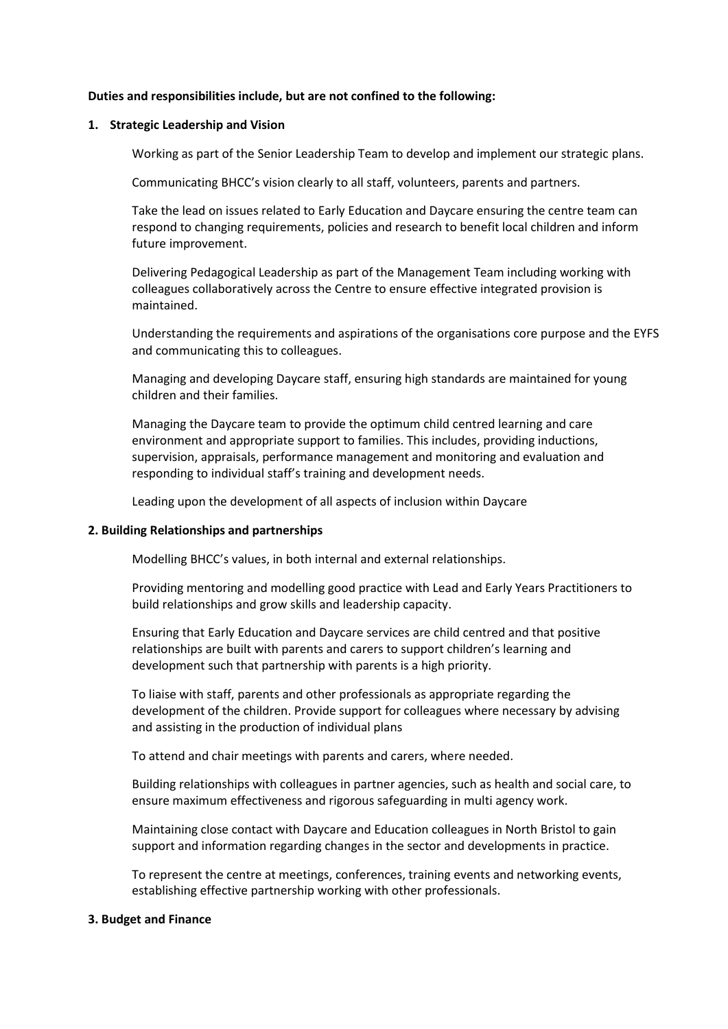## **Duties and responsibilities include, but are not confined to the following:**

## **1. Strategic Leadership and Vision**

Working as part of the Senior Leadership Team to develop and implement our strategic plans.

Communicating BHCC's vision clearly to all staff, volunteers, parents and partners.

Take the lead on issues related to Early Education and Daycare ensuring the centre team can respond to changing requirements, policies and research to benefit local children and inform future improvement.

Delivering Pedagogical Leadership as part of the Management Team including working with colleagues collaboratively across the Centre to ensure effective integrated provision is maintained.

Understanding the requirements and aspirations of the organisations core purpose and the EYFS and communicating this to colleagues.

Managing and developing Daycare staff, ensuring high standards are maintained for young children and their families.

Managing the Daycare team to provide the optimum child centred learning and care environment and appropriate support to families. This includes, providing inductions, supervision, appraisals, performance management and monitoring and evaluation and responding to individual staff's training and development needs.

Leading upon the development of all aspects of inclusion within Daycare

# **2. Building Relationships and partnerships**

Modelling BHCC's values, in both internal and external relationships.

Providing mentoring and modelling good practice with Lead and Early Years Practitioners to build relationships and grow skills and leadership capacity.

Ensuring that Early Education and Daycare services are child centred and that positive relationships are built with parents and carers to support children's learning and development such that partnership with parents is a high priority.

To liaise with staff, parents and other professionals as appropriate regarding the development of the children. Provide support for colleagues where necessary by advising and assisting in the production of individual plans

To attend and chair meetings with parents and carers, where needed.

Building relationships with colleagues in partner agencies, such as health and social care, to ensure maximum effectiveness and rigorous safeguarding in multi agency work.

Maintaining close contact with Daycare and Education colleagues in North Bristol to gain support and information regarding changes in the sector and developments in practice.

To represent the centre at meetings, conferences, training events and networking events, establishing effective partnership working with other professionals.

### **3. Budget and Finance**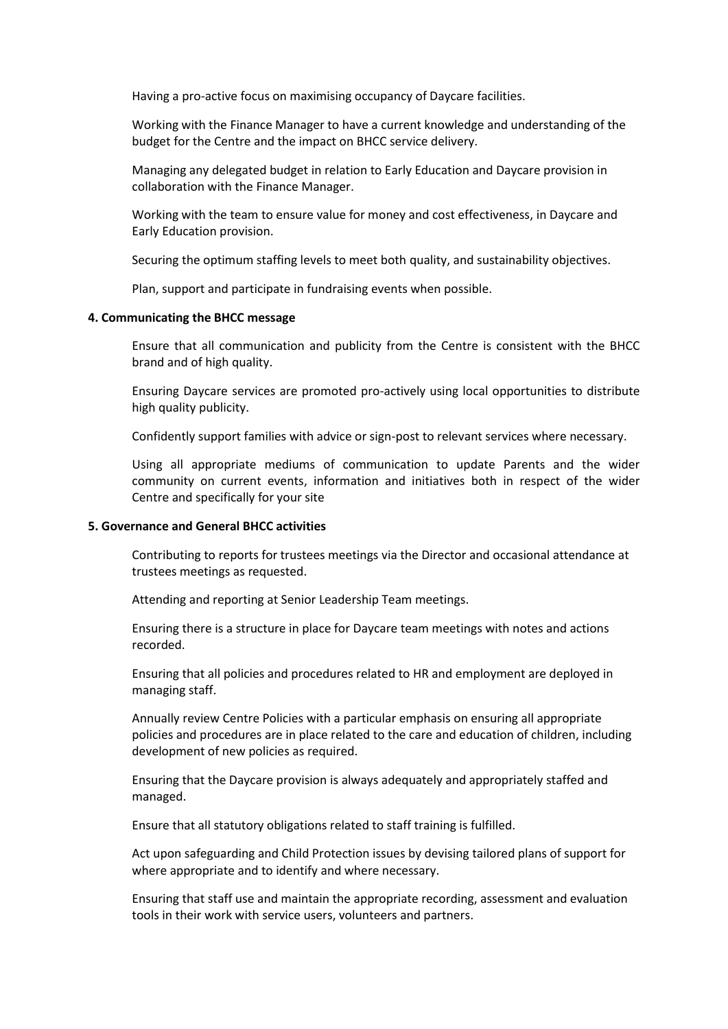Having a pro-active focus on maximising occupancy of Daycare facilities.

Working with the Finance Manager to have a current knowledge and understanding of the budget for the Centre and the impact on BHCC service delivery.

Managing any delegated budget in relation to Early Education and Daycare provision in collaboration with the Finance Manager.

Working with the team to ensure value for money and cost effectiveness, in Daycare and Early Education provision.

Securing the optimum staffing levels to meet both quality, and sustainability objectives.

Plan, support and participate in fundraising events when possible.

#### **4. Communicating the BHCC message**

Ensure that all communication and publicity from the Centre is consistent with the BHCC brand and of high quality.

Ensuring Daycare services are promoted pro-actively using local opportunities to distribute high quality publicity.

Confidently support families with advice or sign-post to relevant services where necessary.

Using all appropriate mediums of communication to update Parents and the wider community on current events, information and initiatives both in respect of the wider Centre and specifically for your site

#### **5. Governance and General BHCC activities**

Contributing to reports for trustees meetings via the Director and occasional attendance at trustees meetings as requested.

Attending and reporting at Senior Leadership Team meetings.

Ensuring there is a structure in place for Daycare team meetings with notes and actions recorded.

Ensuring that all policies and procedures related to HR and employment are deployed in managing staff.

Annually review Centre Policies with a particular emphasis on ensuring all appropriate policies and procedures are in place related to the care and education of children, including development of new policies as required.

Ensuring that the Daycare provision is always adequately and appropriately staffed and managed.

Ensure that all statutory obligations related to staff training is fulfilled.

Act upon safeguarding and Child Protection issues by devising tailored plans of support for where appropriate and to identify and where necessary.

Ensuring that staff use and maintain the appropriate recording, assessment and evaluation tools in their work with service users, volunteers and partners.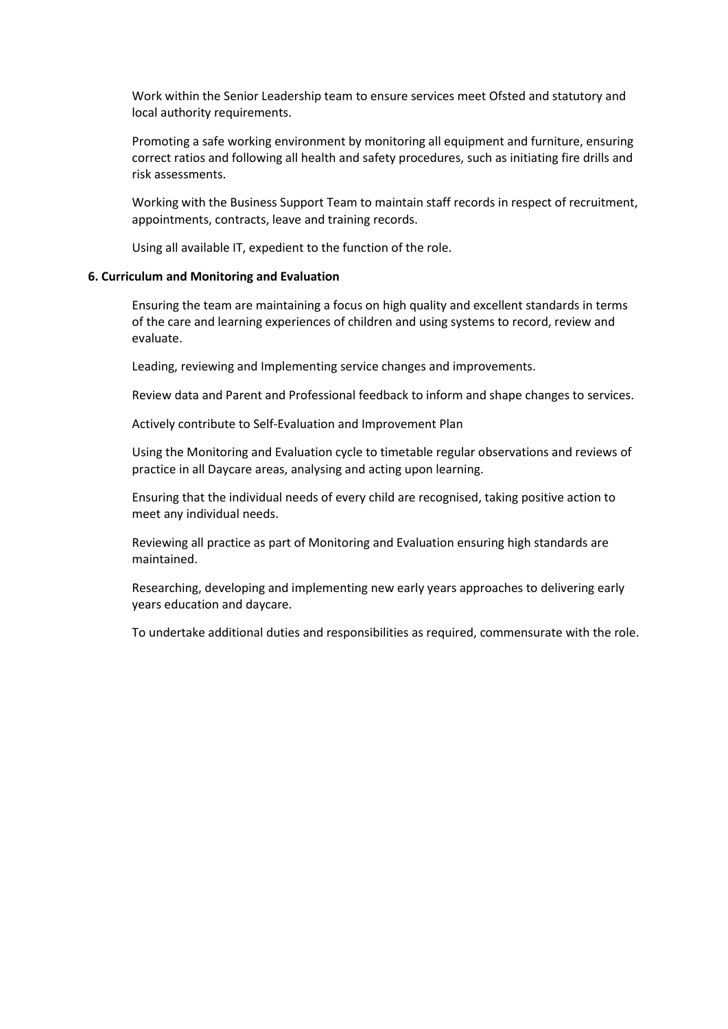Work within the Senior Leadership team to ensure services meet Ofsted and statutory and local authority requirements.

Promoting a safe working environment by monitoring all equipment and furniture, ensuring correct ratios and following all health and safety procedures, such as initiating fire drills and risk assessments.

Working with the Business Support Team to maintain staff records in respect of recruitment, appointments, contracts, leave and training records.

Using all available IT, expedient to the function of the role.

## **6. Curriculum and Monitoring and Evaluation**

Ensuring the team are maintaining a focus on high quality and excellent standards in terms of the care and learning experiences of children and using systems to record, review and evaluate.

Leading, reviewing and Implementing service changes and improvements.

Review data and Parent and Professional feedback to inform and shape changes to services.

Actively contribute to Self-Evaluation and Improvement Plan

Using the Monitoring and Evaluation cycle to timetable regular observations and reviews of practice in all Daycare areas, analysing and acting upon learning.

Ensuring that the individual needs of every child are recognised, taking positive action to meet any individual needs.

Reviewing all practice as part of Monitoring and Evaluation ensuring high standards are maintained.

Researching, developing and implementing new early years approaches to delivering early years education and daycare.

To undertake additional duties and responsibilities as required, commensurate with the role.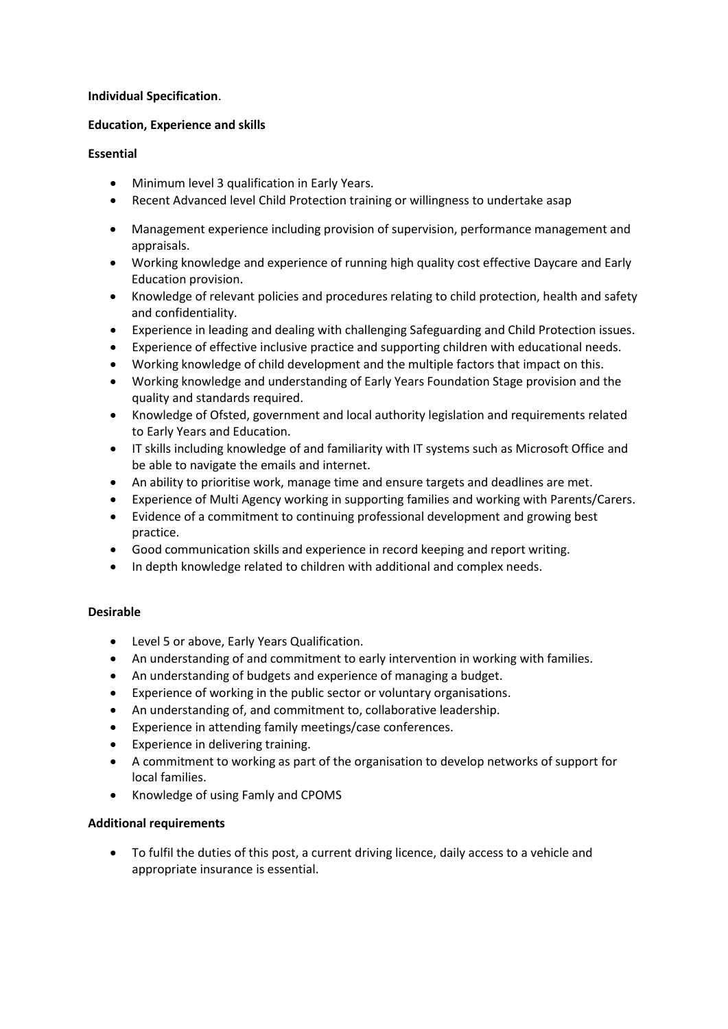# **Individual Specification**.

# **Education, Experience and skills**

# **Essential**

- Minimum level 3 qualification in Early Years.
- Recent Advanced level Child Protection training or willingness to undertake asap
- Management experience including provision of supervision, performance management and appraisals.
- Working knowledge and experience of running high quality cost effective Daycare and Early Education provision.
- Knowledge of relevant policies and procedures relating to child protection, health and safety and confidentiality.
- Experience in leading and dealing with challenging Safeguarding and Child Protection issues.
- Experience of effective inclusive practice and supporting children with educational needs.
- Working knowledge of child development and the multiple factors that impact on this.
- Working knowledge and understanding of Early Years Foundation Stage provision and the quality and standards required.
- Knowledge of Ofsted, government and local authority legislation and requirements related to Early Years and Education.
- IT skills including knowledge of and familiarity with IT systems such as Microsoft Office and be able to navigate the emails and internet.
- An ability to prioritise work, manage time and ensure targets and deadlines are met.
- Experience of Multi Agency working in supporting families and working with Parents/Carers.
- Evidence of a commitment to continuing professional development and growing best practice.
- Good communication skills and experience in record keeping and report writing.
- In depth knowledge related to children with additional and complex needs.

# **Desirable**

- Level 5 or above, Early Years Qualification.
- An understanding of and commitment to early intervention in working with families.
- An understanding of budgets and experience of managing a budget.
- Experience of working in the public sector or voluntary organisations.
- An understanding of, and commitment to, collaborative leadership.
- Experience in attending family meetings/case conferences.
- Experience in delivering training.
- A commitment to working as part of the organisation to develop networks of support for local families.
- Knowledge of using Famly and CPOMS

# **Additional requirements**

 To fulfil the duties of this post, a current driving licence, daily access to a vehicle and appropriate insurance is essential.